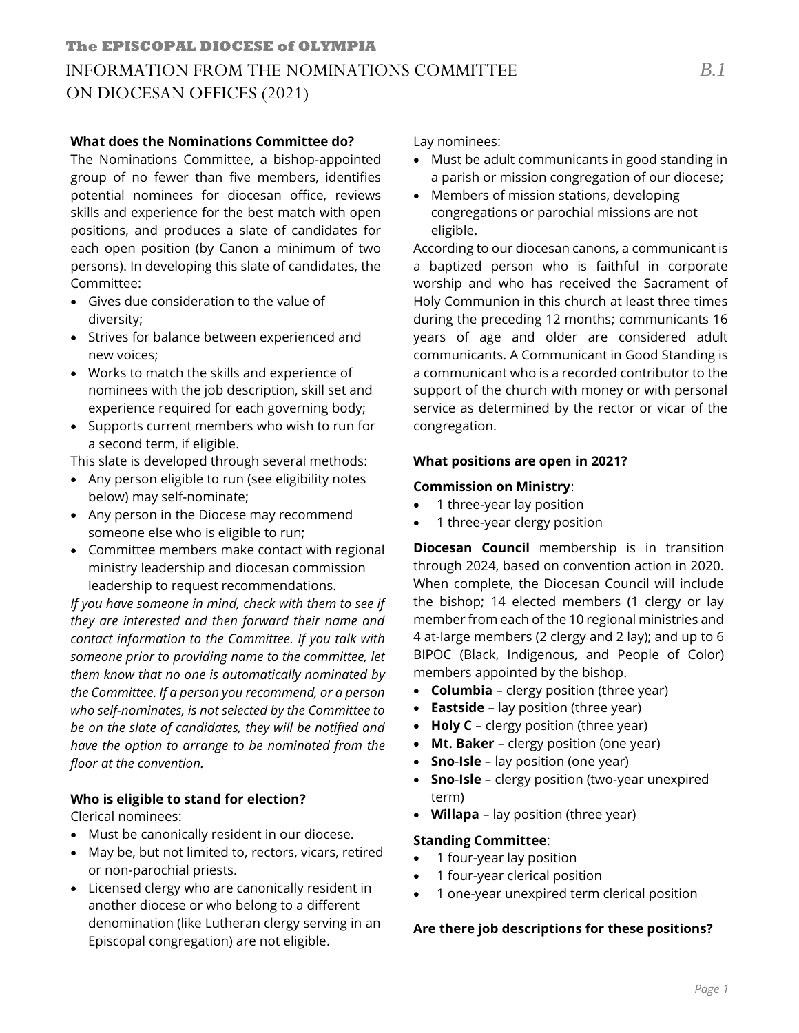#### **What does the Nominations Committee do?**

The Nominations Committee, a bishop-appointed group of no fewer than five members, identifies potential nominees for diocesan office, reviews skills and experience for the best match with open positions, and produces a slate of candidates for each open position (by Canon a minimum of two persons). In developing this slate of candidates, the Committee:

- Gives due consideration to the value of diversity;
- Strives for balance between experienced and new voices;
- Works to match the skills and experience of nominees with the job description, skill set and experience required for each governing body;
- Supports current members who wish to run for a second term, if eligible.

This slate is developed through several methods:

- Any person eligible to run (see eligibility notes below) may self-nominate;
- Any person in the Diocese may recommend someone else who is eligible to run;
- Committee members make contact with regional ministry leadership and diocesan commission leadership to request recommendations.

*If you have someone in mind, check with them to see if they are interested and then forward their name and contact information to the Committee. If you talk with someone prior to providing name to the committee, let them know that no one is automatically nominated by the Committee. If a person you recommend, or a person who self-nominates, is not selected by the Committee to be on the slate of candidates, they will be notified and have the option to arrange to be nominated from the floor at the convention.*

## **Who is eligible to stand for election?**

Clerical nominees:

- Must be canonically resident in our diocese.
- May be, but not limited to, rectors, vicars, retired or non-parochial priests.
- Licensed clergy who are canonically resident in another diocese or who belong to a different denomination (like Lutheran clergy serving in an Episcopal congregation) are not eligible.

Lay nominees:

- Must be adult communicants in good standing in a parish or mission congregation of our diocese;
- Members of mission stations, developing congregations or parochial missions are not eligible.

According to our diocesan canons, a communicant is a baptized person who is faithful in corporate worship and who has received the Sacrament of Holy Communion in this church at least three times during the preceding 12 months; communicants 16 years of age and older are considered adult communicants. A Communicant in Good Standing is a communicant who is a recorded contributor to the support of the church with money or with personal service as determined by the rector or vicar of the congregation.

## **What positions are open in 2021?**

### **Commission on Ministry**:

- 1 three-year lay position
- 1 three-year clergy position

**Diocesan Council** membership is in transition through 2024, based on convention action in 2020. When complete, the Diocesan Council will include the bishop; 14 elected members (1 clergy or lay member from each of the 10 regional ministries and 4 at-large members (2 clergy and 2 lay); and up to 6 BIPOC (Black, Indigenous, and People of Color) members appointed by the bishop.

- **Columbia**  clergy position (three year)
- **Eastside**  lay position (three year)
- **Holy C** clergy position (three year)
- **Mt. Baker** clergy position (one year)
- **Sno**-**Isle** lay position (one year)
- **Sno**-**Isle** clergy position (two-year unexpired term)
- **Willapa**  lay position (three year)

#### **Standing Committee**:

- 1 four-year lay position
- 1 four-year clerical position
- 1 one-year unexpired term clerical position

## **Are there job descriptions for these positions?**